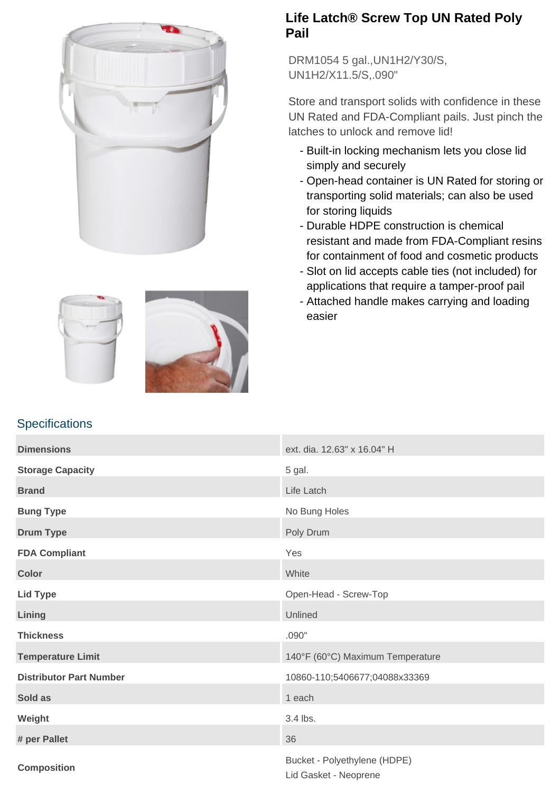

**Specifications** 



## **Life Latch® Screw Top UN Rated Poly Pail**

DRM1054 5 gal.,UN1H2/Y30/S, UN1H2/X11.5/S,.090"

Store and transport solids with confidence in these UN Rated and FDA-Compliant pails. Just pinch the latches to unlock and remove lid!

- Built-in locking mechanism lets you close lid simply and securely
- Open-head container is UN Rated for storing or transporting solid materials; can also be used for storing liquids
- Durable HDPE construction is chemical resistant and made from FDA-Compliant resins for containment of food and cosmetic products
- Slot on lid accepts cable ties (not included) for applications that require a tamper-proof pail
- Attached handle makes carrying and loading easier

| <b>Dimensions</b>              | ext. dia. 12.63" x 16.04" H                           |
|--------------------------------|-------------------------------------------------------|
| <b>Storage Capacity</b>        | 5 gal.                                                |
| <b>Brand</b>                   | Life Latch                                            |
| <b>Bung Type</b>               | No Bung Holes                                         |
| <b>Drum Type</b>               | Poly Drum                                             |
| <b>FDA Compliant</b>           | Yes                                                   |
| <b>Color</b>                   | White                                                 |
| <b>Lid Type</b>                | Open-Head - Screw-Top                                 |
| Lining                         | Unlined                                               |
| <b>Thickness</b>               | .090"                                                 |
| <b>Temperature Limit</b>       | 140°F (60°C) Maximum Temperature                      |
| <b>Distributor Part Number</b> | 10860-110;5406677;04088x33369                         |
| Sold as                        | 1 each                                                |
| Weight                         | 3.4 lbs.                                              |
| # per Pallet                   | 36                                                    |
| <b>Composition</b>             | Bucket - Polyethylene (HDPE)<br>Lid Gasket - Neoprene |